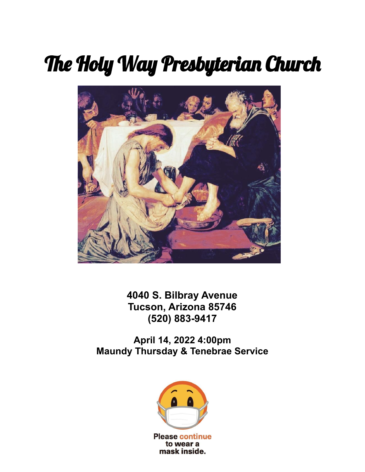## The Holy Way Presbyterian Church



**4040 S. Bilbray Avenue Tucson, Arizona 85746 (520) 883-9417**

**April 14, 2022 4:00pm Maundy Thursday & Tenebrae Service**

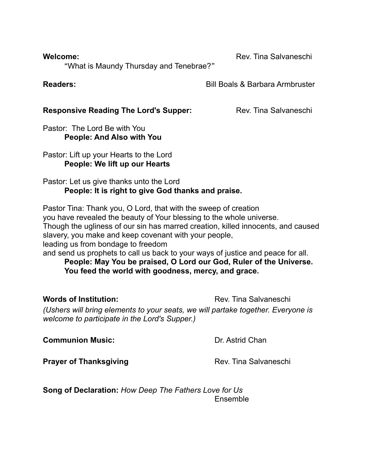**Welcome:** Rev. Tina Salvaneschi

"What is Maundy Thursday and Tenebrae?"

## **Readers: Readers: Bill Boals & Barbara Armbruster**

## **Responsive Reading The Lord's Supper:** Rev. Tina Salvaneschi

Pastor: The Lord Be with You **People: And Also with You**

Pastor: Lift up your Hearts to the Lord **People: We lift up our Hearts**

Pastor: Let us give thanks unto the Lord **People: It is right to give God thanks and praise.**

Pastor Tina: Thank you, O Lord, that with the sweep of creation you have revealed the beauty of Your blessing to the whole universe. Though the ugliness of our sin has marred creation, killed innocents, and caused slavery, you make and keep covenant with your people, leading us from bondage to freedom and send us prophets to call us back to your ways of justice and peace for all.

**People: May You be praised, O Lord our God, Ruler of the Universe. You feed the world with goodness, mercy, and grace.**

**Words of Institution:** The Rev. Tina Salvaneschi *(Ushers will bring elements to your seats, we will partake together. Everyone is welcome to participate in the Lord's Supper.)*

**Communion Music:**  $\qquad \qquad \text{Dr. Astrid Chan}$ 

**Prayer of Thanksgiving** Rev. Tina Salvaneschi

**Song of Declaration:** *How Deep The Fathers Love for Us* Ensemble